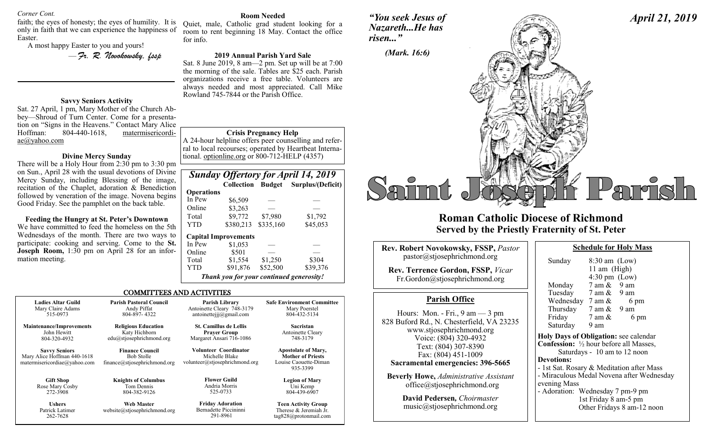#### *Corner Cont.*

faith; the eyes of honesty; the eyes of humility. It is only in faith that we can experience the happiness of Easter.

A most happy Easter to you and yours!

— *Fr. R. Novokowsky, fssp* 

## **Savvy Seniors Activity**

Sat. 27 April, 1 pm, Mary Mother of the Church Abbey—Shroud of Turn Center. Come for a presentation on "Signs in the Heavens." Contact Mary Alice Hoffman: 804-440-1618, matermisericordiae@yahoo.com

### **Divine Mercy Sunday**

There will be a Holy Hour from 2:30 pm to 3:30 pm on Sun., April 28 with the usual devotions of Divine Mercy Sunday, including Blessing of the image, recitation of the Chaplet, adoration & Benediction followed by veneration of the image. Novena begins Good Friday. See the pamphlet on the back table.

**Feeding the Hungry at St. Peter's Downtown** We have committed to feed the homeless on the 5th Wednesdays of the month. There are two ways to participate: cooking and serving. Come to the **St. Joseph Room,** 1:30 pm on April 28 for an information meeting.

262-7628

#### **Room Needed**

Quiet, male, Catholic grad student looking for a room to rent beginning 18 May. Contact the office for info.

### **2019 Annual Parish Yard Sale**

Sat. 8 June 2019, 8 am—2 pm. Set up will be at 7:00 the morning of the sale. Tables are \$25 each. Parish organizations receive a free table. Volunteers are always needed and most appreciated. Call Mike Rowland 745-7844 or the Parish Office.

#### **Crisis Pregnancy Help**

A 24-hour helpline offers peer counselling and referral to local recourses; operated by Heartbeat International. optionline.org or 800-712-HELP (4357)

|                                          |                             |           | <b>Sunday Offertory for April 14, 2019</b> |
|------------------------------------------|-----------------------------|-----------|--------------------------------------------|
|                                          |                             |           | Collection Budget Surplus/(Deficit)        |
| <b>Operations</b>                        |                             |           |                                            |
| In Pew                                   | \$6,509                     |           |                                            |
| Online                                   | \$3,263                     |           |                                            |
| Total                                    | \$9,772                     | \$7,980   | \$1,792                                    |
| YTD                                      | \$380,213                   | \$335,160 | \$45,053                                   |
|                                          | <b>Capital Improvements</b> |           |                                            |
| In Pew                                   | \$1,053                     |           |                                            |
| Online                                   | \$501                       |           |                                            |
| Total                                    | \$1,554                     | \$1,250   | \$304                                      |
| YTD                                      | \$91,876                    | \$52,500  | \$39,376                                   |
| Thank you for your continued generosity! |                             |           |                                            |

tag828@protonmail.com

#### COMMITTEES AND ACTIVITIES

| <b>Ladies Altar Guild</b>                                                           | <b>Parish Pastoral Council</b>                                              | Parish Library                                                                   | <b>Safe Environment Committee</b>                                                           |
|-------------------------------------------------------------------------------------|-----------------------------------------------------------------------------|----------------------------------------------------------------------------------|---------------------------------------------------------------------------------------------|
| Mary Claire Adams                                                                   | Andy Piffat                                                                 | Antoinette Cleary 748-3179                                                       | Mary Poerstel                                                                               |
| 515-0973                                                                            | 804-897-4322                                                                | antoinettejjj $@g$ mail.com                                                      | 804-432-5134                                                                                |
| <b>Maintenance/Improvements</b>                                                     | <b>Religious Education</b>                                                  | <b>St. Camillus de Lellis</b>                                                    | <b>Sacristan</b>                                                                            |
| John Hewitt                                                                         | Katy Hichborn                                                               | <b>Prayer Group</b>                                                              | Antoinette Cleary                                                                           |
| 804-320-4932                                                                        | edu@stjosephrichmond.org                                                    | Margaret Ansari 716-1086                                                         | 748-3179                                                                                    |
| <b>Savvy Seniors</b><br>Mary Alice Hoffman 440-1618<br>matermisericordiae@yahoo.com | <b>Finance Council</b><br><b>Bob Stolle</b><br>finance@stjosephrichmond.org | <b>Volunteer Coordinator</b><br>Michelle Blake<br>volunteer@stjosephrichmond.org | <b>Apostolate of Mary,</b><br><b>Mother of Priests</b><br>Louise Caouette-Diman<br>935-3399 |
| <b>Gift Shop</b>                                                                    | <b>Knights of Columbus</b>                                                  | <b>Flower Guild</b>                                                              | <b>Legion of Mary</b>                                                                       |
| Rose Mary Cosby                                                                     | Tom Dennis                                                                  | Andria Morris                                                                    | Uni Kemp                                                                                    |
| 272-3908                                                                            | 804-382-9126                                                                | 525-0733                                                                         | 804-439-6907                                                                                |
| <b>Ushers</b><br>Patrick Latimer<br>262-7628                                        | <b>Web Master</b><br>website@stjosephrichmond.org                           | <b>Friday Adoration</b><br>Bernadette Piccininni<br>291-8961                     | <b>Teen Activity Group</b><br>Therese & Jeremiah Jr.<br>$tan 828$ $\omega$ nroton mail com  |

*"You seek Jesus of Nazareth...He has risen..."*



## **Roman Catholic Diocese of Richmond Served by the Priestly Fraternity of St. Peter**

| Rev. Robert Novokowsky, FSSP, Pastor                                                                                       | <b>Schedule for Holy Mass</b>                                                                                         |                                                   |  |
|----------------------------------------------------------------------------------------------------------------------------|-----------------------------------------------------------------------------------------------------------------------|---------------------------------------------------|--|
| pastor@stjosephrichmond.org                                                                                                | Sunday                                                                                                                | $8:30$ am (Low)                                   |  |
| Rev. Terrence Gordon, FSSP, Vicar<br>Fr.Gordon@stjosephrichmond.org                                                        | Monday $7 \text{ am } \&$                                                                                             | 11 am $(High)$<br>$4:30 \text{ pm}$ (Low)<br>9 am |  |
| <b>Parish Office</b>                                                                                                       | Tuesday 7 am & 9 am<br>Wednesday $7 \text{ am } \& 6 \text{ pm}$                                                      |                                                   |  |
| Hours: Mon. - Fri., $9 \text{ am} - 3 \text{ pm}$<br>828 Buford Rd., N. Chesterfield, VA 23235<br>www.stjosephrichmond.org | Thursday $7 \text{ am } \& 9 \text{ am}$<br>Friday $7 \text{ am } \&$<br>Saturday<br>9 am                             | 6 pm                                              |  |
| Voice: (804) 320-4932<br>Text: (804) 307-8390<br>Fax: (804) 451-1009                                                       | Holy Days of Obligation: see calenda<br><b>Confession:</b> 1/2 hour before all Masses<br>Saturdays - 10 am to 12 noon |                                                   |  |
| Sacramental emergencies: 396-5665                                                                                          | <b>Devotions:</b><br>- 1st Sat. Rosary & Meditation after M                                                           |                                                   |  |
| <b>Beverly Howe, Administrative Assistant</b><br>office@stjosephrichmond.org                                               | - Miraculous Medal Novena after Wed<br>evening Mass<br>- Adoration: Wednesday 7 pm-9 pm                               |                                                   |  |
| David Pedersen, Choirmaster<br>music@stjosephrichmond.org                                                                  |                                                                                                                       | 1st Friday 8 am-5 pm<br>Other Fridays 8 am-12 no  |  |

|                                                          | 11 am (High)            |                                           |
|----------------------------------------------------------|-------------------------|-------------------------------------------|
|                                                          | $4:30 \text{ pm}$ (Low) |                                           |
| Monday 7 am & 9 am                                       |                         |                                           |
| Tuesday 7 am & 9 am                                      |                         |                                           |
| Wednesday $7 \text{ am } \& 6 \text{ pm}$                |                         |                                           |
| Thursday 7 am & 9 am                                     |                         |                                           |
| Friday                                                   | $7 \text{ am } \&$      | 6 pm                                      |
| Saturday 9 am                                            |                         |                                           |
| Holy Days of Obligation: see calendar                    |                         |                                           |
| <b>Confession:</b> $\frac{1}{2}$ hour before all Masses, |                         |                                           |
|                                                          |                         | Saturdays - 10 am to 12 noon              |
| <b>Devotions:</b>                                        |                         |                                           |
| - 1st Sat. Rosary & Meditation after Mass                |                         |                                           |
|                                                          |                         | - Miraculous Medal Novena after Wednesday |
| evening Mass                                             |                         |                                           |
| - Adoration: Wednesday 7 pm-9 pm                         |                         |                                           |
| 1st Friday 8 am-5 pm                                     |                         |                                           |
|                                                          |                         | Other Fridays 8 am-12 noon                |
|                                                          |                         |                                           |

*April 21, 2019*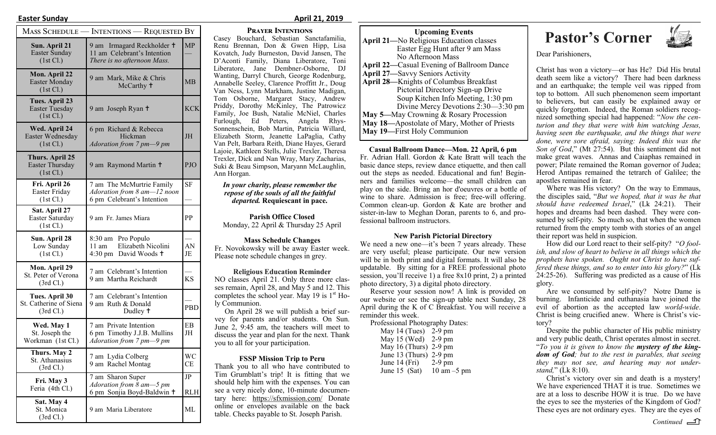|                                                               | MASS SCHEDULE — INTENTIONS — REQUESTED BY                                                |            |
|---------------------------------------------------------------|------------------------------------------------------------------------------------------|------------|
| Sun. April 21<br>Easter Sunday<br>(1st Cl.)                   | 9 am Irmagard Reckholder +<br>11 am Celebrant's Intention<br>There is no afternoon Mass. | <b>MP</b>  |
| Mon. April 22<br><b>Easter Monday</b><br>(1st Cl.)            | 9 am Mark, Mike & Chris<br>McCarthy <sup>+</sup>                                         | MВ         |
| Tues. April 23<br><b>Easter Tuesday</b><br>(1st Cl.)          | 9 am Joseph Ryan +                                                                       | <b>KCK</b> |
| Wed. April 24<br>Easter Wednesday<br>(1st Cl.)                | 6 pm Richard & Rebecca<br>Hickman<br>Adoration from 7 pm-9 pm                            | <b>JH</b>  |
| <b>Thurs. April 25</b><br><b>Easter Thursday</b><br>(1st Cl.) | 9 am Raymond Martin +                                                                    | PJO        |
| Fri. April 26<br>Easter Friday<br>(1st Cl.)                   | 7 am The McMurtrie Family<br>Adoration from 8 am-12 noon<br>6 pm Celebrant's Intention   | <b>SF</b>  |
| Sat. April 27<br>Easter Saturday<br>(1st Cl.)                 | 9 am Fr. James Miara                                                                     | PP.        |
| Sun. April 28<br>Low Sunday<br>(1st Cl.)                      | 8:30 am Pro Populo<br>Elizabeth Nicolini<br>11 am<br>4:30 pm David Woods +               | AN<br>JE   |
| Mon. April 29<br>St. Peter of Verona<br>$(3rd \, \text{Cl.})$ | 7 am Celebrant's Intention<br>9 am Martha Reichardt                                      | <b>KS</b>  |
| Tues. April 30<br>St. Catherine of Siena<br>(3rd Cl.)         | 7 am Celebrant's Intention<br>9 am Ruth & Donald<br>Dudley <sup>+</sup>                  | PBD        |
| Wed. May 1<br>St. Joseph the<br>Workman (1st Cl.)             | 7 am Private Intention<br>6 pm Timothy J.J.B. Mullins<br>Adoration from 7 pm-9 pm        | EB<br>JH   |
| Thurs. May 2<br>St. Athanasius<br>$(3rd \, \text{Cl.})$       | 7 am Lydia Colberg<br>9 am Rachel Montag                                                 | WС<br>СE   |
| Fri. May 3<br>Feria (4th Cl.)                                 | 7 am Sharon Super<br>Adoration from 8 am-5 pm<br>6 pm Sonjia Boyd-Baldwin +              | JP.<br>RLH |
| Sat. May 4<br>St. Monica<br>(3rd Cl.)                         | 9 am Maria Liberatore                                                                    | ML         |

#### **Easter Sunday April 21, 2019**

#### **Prayer Intentions**

Casey Bouchard, Sebastian Sanctafamilia, Renu Brennan, Don & Gwen Hipp, Lisa Kovatch, Judy Burneston, David Jansen, The D'Aconti Family, Diana Liberatore, Toni Liberatore, Jane Dembner-Osborne, DJ Wanting, Darryl Church, George Rodenburg, Annabelle Seeley, Clarence Proffitt Jr., Doug Van Ness, Lynn Markham, Justine Madigan, Tom Osborne, Margaret Stacy, Andrew Priddy, Dorothy McKinley, The Patrowicz Family, Joe Bush, Natalie McNiel, Charles Furlough, Ed Peters, Angela Rhys-Sonnenschein, Bob Martin, Patricia Willard, Elizabeth Storm, Jeanette LaPaglia, Cathy Van Pelt, Barbara Reith, Diane Hayes, Gerard Lajoie, Kathleen Stells, Julie Trexler, Theresa Trexler, Dick and Nan Wray, Mary Zacharias, Suki & Beau Simpson, Maryann McLaughlin, Ann Horgan.

*In your charity, please remember the repose of the souls of all the faithful departed.* **Requiescant in pace.** 

**Parish Office Closed** Monday, 22 April & Thursday 25 April

#### **Mass Schedule Changes**

Fr. Novokowsky will be away Easter week. Please note schedule changes in grey.

#### **Religious Education Reminder**

NO classes April 21. Only three more classes remain, April 28, and May 5 and 12. This completes the school year. May 19 is  $1<sup>st</sup>$  Holy Communion.

On April 28 we will publish a brief survey for parents and/or students. On Sun. June 2, 9:45 am, the teachers will meet to discuss the year and plan for the next. Thank you to all for your participation.

#### **FSSP Mission Trip to Peru**

Thank you to all who have contributed to Tim Grumblatt's trip! It is fitting that we should help him with the expenses. You can see a very nicely done, 10-minute documentary here: https://sfxmission.com/ Donate online or envelopes available on the back table. Checks payable to St. Joseph Parish.

| <b>UPCOMING EVENTS</b>                            |  |  |
|---------------------------------------------------|--|--|
| <b>April 21</b> —No Religious Education classes   |  |  |
| Easter Egg Hunt after 9 am Mass                   |  |  |
| No Afternoon Mass                                 |  |  |
| <b>April 22—Casual Evening of Ballroom Dance</b>  |  |  |
| <b>April 27—Savvy Seniors Activity</b>            |  |  |
| April 28—Knights of Columbus Breakfast            |  |  |
| Pictorial Directory Sign-up Drive                 |  |  |
| Soup Kitchen Info Meeting, 1:30 pm                |  |  |
| Divine Mercy Devotions 2:30-3:30 pm               |  |  |
| <b>May 5—May Crowning &amp; Rosary Procession</b> |  |  |
| May 18—Apostolate of Mary, Mother of Priests      |  |  |
| May 19-First Holy Communion                       |  |  |

**Casual Ballroom Dance—Mon. 22 April, 6 pm**  Fr. Adrian Hall. Gordon & Kate Bratt will teach the basic dance steps, review dance etiquette, and then call out the steps as needed. Educational and fun! Beginners and families welcome—the small children can play on the side. Bring an hor d'oeuvres or a bottle of wine to share. Admission is free; free-will offering. Common clean-up. Gordon & Kate are brother and sister-in-law to Meghan Doran, parents to 6, and professional ballroom instructors.

#### **New Parish Pictorial Directory**

We need a new one—it's been 7 years already. These are very useful; please participate. Our new version will be in both print and digital formats. It will also be updatable. By sitting for a FREE professional photo session, you'll receive 1) a free 8x10 print, 2) a printed photo directory, 3) a digital photo directory.

Reserve your session now! A link is provided on our website or see the sign-up table next Sunday, 28 April during the K of C Breakfast. You will receive a reminder this week.<br>Professional Pho

| Professional Photography Dates: |               |
|---------------------------------|---------------|
| May 14 (Tues) $2-9$ pm          |               |
| May 15 (Wed) 2-9 pm             |               |
| May 16 (Thurs) 2-9 pm           |               |
| June 13 (Thurs) $2-9$ pm        |               |
| June 14 (Fri)                   | $2-9$ pm      |
| June 15 (Sat)                   | 10 am $-5$ pm |

## **Pastor's Corner**<br> **Pastor's Corner**



Dear Parishioners,

Christ has won a victory—or has He? Did His brutal death seem like a victory? There had been darkness and an earthquake; the temple veil was ripped from top to bottom. All such phenomenon seem important to believers, but can easily be explained away or quickly forgotten. Indeed, the Roman soldiers recognized something special had happened: "*Now the centurion and they that were with him watching Jesus, having seen the earthquake, and the things that were done, were sore afraid, saying: Indeed this was the Son of God*," (Mt 27:54). But this sentiment did not make great waves. Annas and Caiaphas remained in power; Pilate remained the Roman governor of Judea; Herod Antipas remained the tetrarch of Galilee; the apostles remained in fear.

Where was His victory? On the way to Emmaus, the disciples said, "*But we hoped, that it was he that should have redeemed Israel*," (Lk 24:21). Their hopes and dreams had been dashed. They were consumed by self-pity. So much so, that when the women returned from the empty tomb with stories of an angel their report was held in suspicion.

How did our Lord react to their self-pity? "*O foolish, and slow of heart to believe in all things which the prophets have spoken. Ought not Christ to have suffered these things, and so to enter into his glory?*" (Lk 24:25-26). Suffering was predicted as a cause of His glory.

Are we consumed by self-pity? Notre Dame is burning. Infanticide and euthanasia have joined the evil of abortion as the accepted law *world-wide*. Christ is being crucified anew. Where is Christ's victory?

Despite the public character of His public ministry and very public death, Christ operates almost in secret. "*To you it is given to know the mystery of the kingdom of God; but to the rest in parables, that seeing they may not see, and hearing may not understand,*" (Lk 8:10).

Christ's victory over sin and death is a mystery! We have experienced THAT it is true. Sometimes we are at a loss to describe HOW it is true. Do we have the eyes to see the mysteries of the Kingdom of God? These eyes are not ordinary eyes. They are the eyes of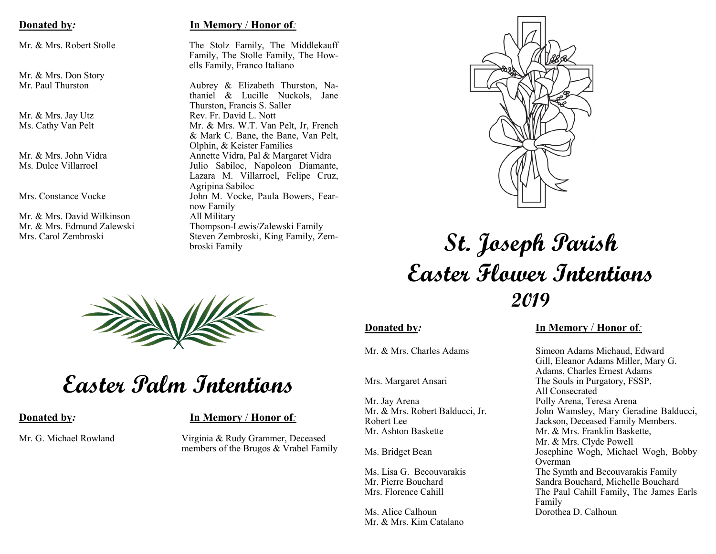Mr. & Mrs. Don Story<br>Mr. Paul Thurston

Mr. & Mrs. David Wilkinson All Military<br>Mr. & Mrs. Edmund Zalewski All Military

## **Donated by***:* **In Memory** / **Honor of***:*

Mr. & Mrs. Robert Stolle The Stolz Family, The Middlekauff Family, The Stolle Family, The Howells Family, Franco Italiano

Aubrey & Elizabeth Thurston, Nathaniel & Lucille Nuckols, Jane Thurston, Francis S. Saller Mr. & Mrs. Jay Utz Rev. Fr. David L. Nott Ms. Cathy Van Pelt Mr. & Mr. & Mrs. W.T. Van Pelt, Jr, French & Mark C. Bane, the Bane, Van Pelt, Olphin, & Keister Families Mr. & Mrs. John Vidra **Annette Vidra, Pal & Margaret Vidra**<br>Ms. Dulce Villarroel **Annette Vidra, Pal & Margaret Vidra** Julio Sabiloc, Napoleon Diamante, Lazara M. Villarroel, Felipe Cruz, Agripina Sabiloc Mrs. Constance Vocke John M. Vocke, Paula Bowers, Fearnow Family Thompson-Lewis/Zalewski Family Mrs. Carol Zembroski Steven Zembroski, King Family, Zembroski Family



## **St. Joseph Parish Easter Flower Intentions 2019**



# **Easter Palm Intentions**

**Donated by***:* **In Memory** / **Honor of***:*

Mr. G. Michael Rowland Virginia & Rudy Grammer, Deceased members of the Brugos & Vrabel Family

Mr. Jay Arena **Polly Arena**, Teresa Arena Mr. Ashton Baskette Mr. & Mrs. Franklin Baskette,

Ms. Alice Calhoun Dorothea D. Calhoun Mr. & Mrs. Kim Catalano

## **Donated by***:* **In Memory** / **Honor of***:*

Mr. & Mrs. Charles Adams Simeon Adams Michaud, Edward Gill, Eleanor Adams Miller, Mary G. Adams, Charles Ernest Adams Mrs. Margaret Ansari The Souls in Purgatory, FSSP, All Consecrated Mr. & Mrs. Robert Balducci, Jr. John Wamsley, Mary Geradine Balducci, Robert Lee Jackson, Deceased Family Members. Mr. & Mrs. Clyde Powell Ms. Bridget Bean Josephine Wogh, Michael Wogh, Bobby Overman Ms. Lisa G. Becouvarakis The Symth and Becouvarakis Family<br>Mr. Pierre Bouchard Sandra Rouchard. Michelle Rouchard Sandra Bouchard, Michelle Bouchard Mrs. Florence Cahill **The Paul Cahill Family, The James Earls** Family